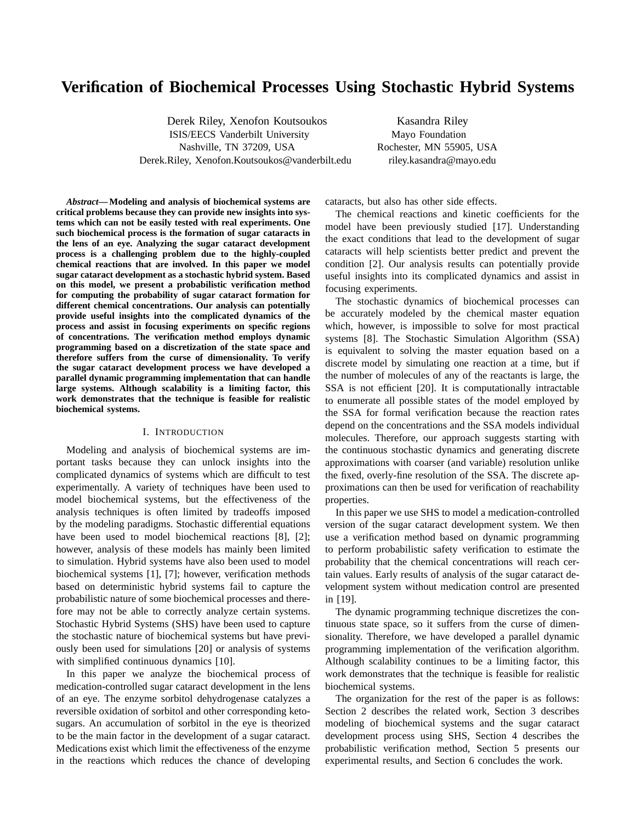# **Verification of Biochemical Processes Using Stochastic Hybrid Systems**

Derek Riley, Xenofon Koutsoukos Kasandra Riley ISIS/EECS Vanderbilt University Mayo Foundation Nashville, TN 37209, USA Rochester, MN 55905, USA Derek.Riley, Xenofon.Koutsoukos@vanderbilt.edu riley.kasandra@mayo.edu

*Abstract***— Modeling and analysis of biochemical systems are critical problems because they can provide new insights into systems which can not be easily tested with real experiments. One such biochemical process is the formation of sugar cataracts in the lens of an eye. Analyzing the sugar cataract development process is a challenging problem due to the highly-coupled chemical reactions that are involved. In this paper we model sugar cataract development as a stochastic hybrid system. Based on this model, we present a probabilistic verification method for computing the probability of sugar cataract formation for different chemical concentrations. Our analysis can potentially provide useful insights into the complicated dynamics of the process and assist in focusing experiments on specific regions of concentrations. The verification method employs dynamic programming based on a discretization of the state space and therefore suffers from the curse of dimensionality. To verify the sugar cataract development process we have developed a parallel dynamic programming implementation that can handle large systems. Although scalability is a limiting factor, this work demonstrates that the technique is feasible for realistic biochemical systems.**

# I. INTRODUCTION

Modeling and analysis of biochemical systems are important tasks because they can unlock insights into the complicated dynamics of systems which are difficult to test experimentally. A variety of techniques have been used to model biochemical systems, but the effectiveness of the analysis techniques is often limited by tradeoffs imposed by the modeling paradigms. Stochastic differential equations have been used to model biochemical reactions [8], [2]; however, analysis of these models has mainly been limited to simulation. Hybrid systems have also been used to model biochemical systems [1], [7]; however, verification methods based on deterministic hybrid systems fail to capture the probabilistic nature of some biochemical processes and therefore may not be able to correctly analyze certain systems. Stochastic Hybrid Systems (SHS) have been used to capture the stochastic nature of biochemical systems but have previously been used for simulations [20] or analysis of systems with simplified continuous dynamics [10].

In this paper we analyze the biochemical process of medication-controlled sugar cataract development in the lens of an eye. The enzyme sorbitol dehydrogenase catalyzes a reversible oxidation of sorbitol and other corresponding ketosugars. An accumulation of sorbitol in the eye is theorized to be the main factor in the development of a sugar cataract. Medications exist which limit the effectiveness of the enzyme in the reactions which reduces the chance of developing cataracts, but also has other side effects.

The chemical reactions and kinetic coefficients for the model have been previously studied [17]. Understanding the exact conditions that lead to the development of sugar cataracts will help scientists better predict and prevent the condition [2]. Our analysis results can potentially provide useful insights into its complicated dynamics and assist in focusing experiments.

The stochastic dynamics of biochemical processes can be accurately modeled by the chemical master equation which, however, is impossible to solve for most practical systems [8]. The Stochastic Simulation Algorithm (SSA) is equivalent to solving the master equation based on a discrete model by simulating one reaction at a time, but if the number of molecules of any of the reactants is large, the SSA is not efficient [20]. It is computationally intractable to enumerate all possible states of the model employed by the SSA for formal verification because the reaction rates depend on the concentrations and the SSA models individual molecules. Therefore, our approach suggests starting with the continuous stochastic dynamics and generating discrete approximations with coarser (and variable) resolution unlike the fixed, overly-fine resolution of the SSA. The discrete approximations can then be used for verification of reachability properties.

In this paper we use SHS to model a medication-controlled version of the sugar cataract development system. We then use a verification method based on dynamic programming to perform probabilistic safety verification to estimate the probability that the chemical concentrations will reach certain values. Early results of analysis of the sugar cataract development system without medication control are presented in [19].

The dynamic programming technique discretizes the continuous state space, so it suffers from the curse of dimensionality. Therefore, we have developed a parallel dynamic programming implementation of the verification algorithm. Although scalability continues to be a limiting factor, this work demonstrates that the technique is feasible for realistic biochemical systems.

The organization for the rest of the paper is as follows: Section 2 describes the related work, Section 3 describes modeling of biochemical systems and the sugar cataract development process using SHS, Section 4 describes the probabilistic verification method, Section 5 presents our experimental results, and Section 6 concludes the work.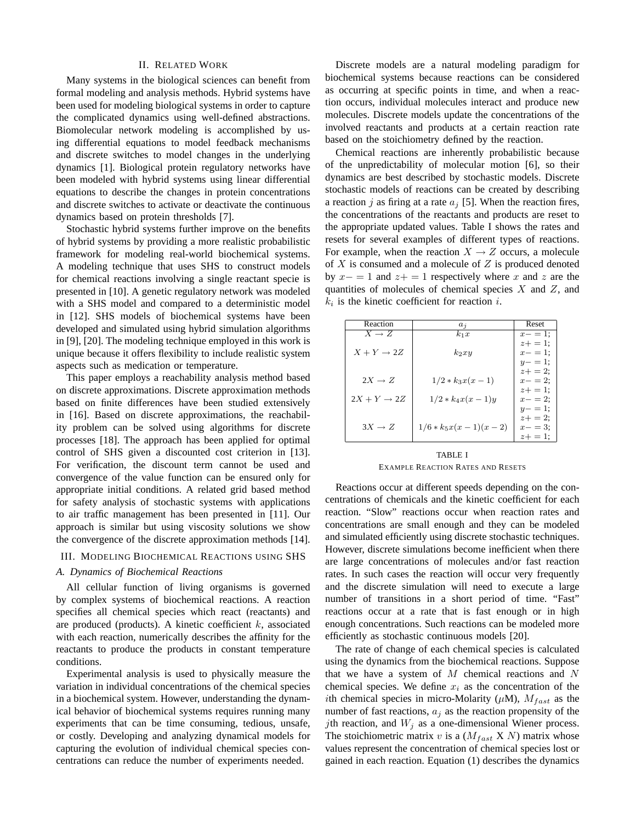#### II. RELATED WORK

Many systems in the biological sciences can benefit from formal modeling and analysis methods. Hybrid systems have been used for modeling biological systems in order to capture the complicated dynamics using well-defined abstractions. Biomolecular network modeling is accomplished by using differential equations to model feedback mechanisms and discrete switches to model changes in the underlying dynamics [1]. Biological protein regulatory networks have been modeled with hybrid systems using linear differential equations to describe the changes in protein concentrations and discrete switches to activate or deactivate the continuous dynamics based on protein thresholds [7].

Stochastic hybrid systems further improve on the benefits of hybrid systems by providing a more realistic probabilistic framework for modeling real-world biochemical systems. A modeling technique that uses SHS to construct models for chemical reactions involving a single reactant specie is presented in [10]. A genetic regulatory network was modeled with a SHS model and compared to a deterministic model in [12]. SHS models of biochemical systems have been developed and simulated using hybrid simulation algorithms in [9], [20]. The modeling technique employed in this work is unique because it offers flexibility to include realistic system aspects such as medication or temperature.

This paper employs a reachability analysis method based on discrete approximations. Discrete approximation methods based on finite differences have been studied extensively in [16]. Based on discrete approximations, the reachability problem can be solved using algorithms for discrete processes [18]. The approach has been applied for optimal control of SHS given a discounted cost criterion in [13]. For verification, the discount term cannot be used and convergence of the value function can be ensured only for appropriate initial conditions. A related grid based method for safety analysis of stochastic systems with applications to air traffic management has been presented in [11]. Our approach is similar but using viscosity solutions we show the convergence of the discrete approximation methods [14].

## III. MODELING BIOCHEMICAL REACTIONS USING SHS

# *A. Dynamics of Biochemical Reactions*

All cellular function of living organisms is governed by complex systems of biochemical reactions. A reaction specifies all chemical species which react (reactants) and are produced (products). A kinetic coefficient  $k$ , associated with each reaction, numerically describes the affinity for the reactants to produce the products in constant temperature conditions.

Experimental analysis is used to physically measure the variation in individual concentrations of the chemical species in a biochemical system. However, understanding the dynamical behavior of biochemical systems requires running many experiments that can be time consuming, tedious, unsafe, or costly. Developing and analyzing dynamical models for capturing the evolution of individual chemical species concentrations can reduce the number of experiments needed.

Discrete models are a natural modeling paradigm for biochemical systems because reactions can be considered as occurring at specific points in time, and when a reaction occurs, individual molecules interact and produce new molecules. Discrete models update the concentrations of the involved reactants and products at a certain reaction rate based on the stoichiometry defined by the reaction.

Chemical reactions are inherently probabilistic because of the unpredictability of molecular motion [6], so their dynamics are best described by stochastic models. Discrete stochastic models of reactions can be created by describing a reaction j as firing at a rate  $a_i$  [5]. When the reaction fires, the concentrations of the reactants and products are reset to the appropriate updated values. Table I shows the rates and resets for several examples of different types of reactions. For example, when the reaction  $X \to Z$  occurs, a molecule of  $X$  is consumed and a molecule of  $Z$  is produced denoted by  $x- = 1$  and  $z+ = 1$  respectively where x and z are the quantities of molecules of chemical species  $X$  and  $Z$ , and  $k_i$  is the kinetic coefficient for reaction i.

| Reaction                | $a_i$                  | Reset         |
|-------------------------|------------------------|---------------|
| $X \rightarrow Z$       | $k_1x$                 | $x - = 1$ :   |
|                         |                        | $z_+ = 1$ :   |
| $X + Y \rightarrow 2Z$  | $k_2xy$                | $x - = 1$ ;   |
|                         |                        | $y - = 1$ ;   |
|                         |                        | $z_{+} = 2$ : |
| $2X \rightarrow Z$      | $1/2 * k_3x(x-1)$      | $x - = 2$ :   |
|                         |                        | $z + = 1$ ;   |
| $2X + Y \rightarrow 2Z$ | $1/2 * k_4x(x-1)y$     | $x - = 2$ :   |
|                         |                        | $y - = 1$ ;   |
|                         |                        | $z_{+} = 2$ : |
| $3X \rightarrow Z$      | $1/6 * k_5x(x-1)(x-2)$ | $x - = 3$ :   |
|                         |                        | $z+ = 1$ :    |

## TABLE I EXAMPLE REACTION RATES AND RESETS

Reactions occur at different speeds depending on the concentrations of chemicals and the kinetic coefficient for each reaction. "Slow" reactions occur when reaction rates and concentrations are small enough and they can be modeled and simulated efficiently using discrete stochastic techniques. However, discrete simulations become inefficient when there are large concentrations of molecules and/or fast reaction rates. In such cases the reaction will occur very frequently and the discrete simulation will need to execute a large number of transitions in a short period of time. "Fast" reactions occur at a rate that is fast enough or in high enough concentrations. Such reactions can be modeled more efficiently as stochastic continuous models [20].

The rate of change of each chemical species is calculated using the dynamics from the biochemical reactions. Suppose that we have a system of  $M$  chemical reactions and  $N$ chemical species. We define  $x_i$  as the concentration of the *i*th chemical species in micro-Molarity ( $\mu$ M),  $M_{fast}$  as the number of fast reactions,  $a_j$  as the reaction propensity of the *j*th reaction, and  $W_j$  as a one-dimensional Wiener process. The stoichiometric matrix v is a  $(M_{fast} \times N)$  matrix whose values represent the concentration of chemical species lost or gained in each reaction. Equation (1) describes the dynamics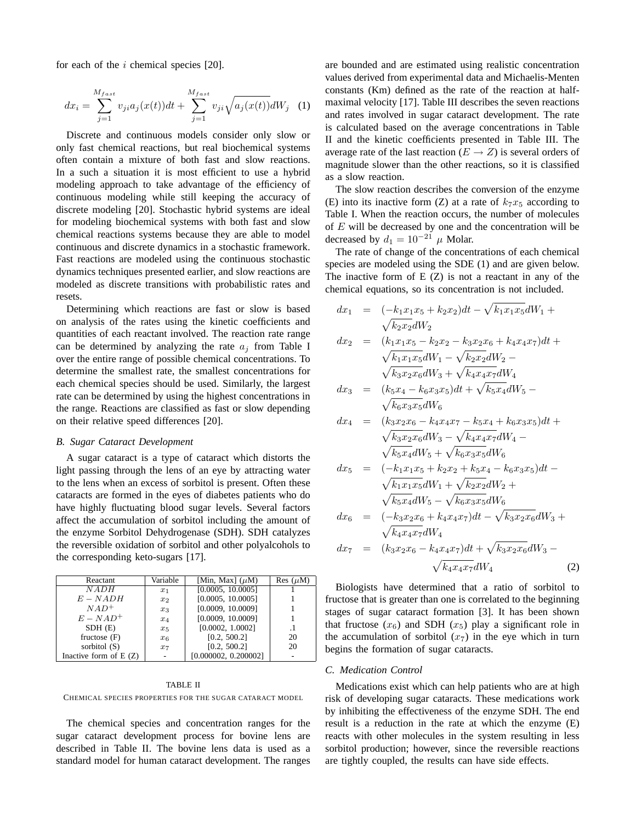for each of the i chemical species [20].

$$
dx_i = \sum_{j=1}^{M_{fast}} v_{ji} a_j(x(t)) dt + \sum_{j=1}^{M_{fast}} v_{ji} \sqrt{a_j(x(t))} dW_j
$$
 (1)

Discrete and continuous models consider only slow or only fast chemical reactions, but real biochemical systems often contain a mixture of both fast and slow reactions. In a such a situation it is most efficient to use a hybrid modeling approach to take advantage of the efficiency of continuous modeling while still keeping the accuracy of discrete modeling [20]. Stochastic hybrid systems are ideal for modeling biochemical systems with both fast and slow chemical reactions systems because they are able to model continuous and discrete dynamics in a stochastic framework. Fast reactions are modeled using the continuous stochastic dynamics techniques presented earlier, and slow reactions are modeled as discrete transitions with probabilistic rates and resets.

Determining which reactions are fast or slow is based on analysis of the rates using the kinetic coefficients and quantities of each reactant involved. The reaction rate range can be determined by analyzing the rate  $a_i$  from Table I over the entire range of possible chemical concentrations. To determine the smallest rate, the smallest concentrations for each chemical species should be used. Similarly, the largest rate can be determined by using the highest concentrations in the range. Reactions are classified as fast or slow depending on their relative speed differences [20].

# *B. Sugar Cataract Development*

A sugar cataract is a type of cataract which distorts the light passing through the lens of an eye by attracting water to the lens when an excess of sorbitol is present. Often these cataracts are formed in the eyes of diabetes patients who do have highly fluctuating blood sugar levels. Several factors affect the accumulation of sorbitol including the amount of the enzyme Sorbitol Dehydrogenase (SDH). SDH catalyzes the reversible oxidation of sorbitol and other polyalcohols to the corresponding keto-sugars [17].

| Reactant                | Variable | [Min, Max] $(\mu M)$ | $Res(\mu M)$ |
|-------------------------|----------|----------------------|--------------|
| NADH                    | $x_1$    | [0.0005, 10.0005]    |              |
| $E-NADH$                | $x_2$    | [0.0005, 10.0005]    |              |
| $NAD^+$                 | $x_3$    | [0.0009, 10.0009]    |              |
| $E- NAD^+$              | $x_4$    | [0.0009, 10.0009]    |              |
| SDH(E)                  | $x_5$    | [0.0002, 1.0002]     |              |
| fructose $(F)$          | $x_6$    | [0.2, 500.2]         | 20           |
| sorbitol $(S)$          | $x_7$    | [0.2, 500.2]         | 20           |
| Inactive form of $E(Z)$ |          | [0.000002, 0.200002] |              |

#### TABLE II

CHEMICAL SPECIES PROPERTIES FOR THE SUGAR CATARACT MODEL

The chemical species and concentration ranges for the sugar cataract development process for bovine lens are described in Table II. The bovine lens data is used as a standard model for human cataract development. The ranges are bounded and are estimated using realistic concentration values derived from experimental data and Michaelis-Menten constants (Km) defined as the rate of the reaction at halfmaximal velocity [17]. Table III describes the seven reactions and rates involved in sugar cataract development. The rate is calculated based on the average concentrations in Table II and the kinetic coefficients presented in Table III. The average rate of the last reaction  $(E \rightarrow Z)$  is several orders of magnitude slower than the other reactions, so it is classified as a slow reaction.

The slow reaction describes the conversion of the enzyme (E) into its inactive form (Z) at a rate of  $k_7x_5$  according to Table I. When the reaction occurs, the number of molecules of E will be decreased by one and the concentration will be decreased by  $d_1 = 10^{-21}$   $\mu$  Molar.

The rate of change of the concentrations of each chemical species are modeled using the SDE (1) and are given below. The inactive form of  $E(Z)$  is not a reactant in any of the chemical equations, so its concentration is not included.

$$
dx_{1} = (-k_{1}x_{1}x_{5} + k_{2}x_{2})dt - \sqrt{k_{1}x_{1}x_{5}}dW_{1} +
$$
  
\n
$$
\sqrt{k_{2}x_{2}}dW_{2}
$$
  
\n
$$
dx_{2} = (k_{1}x_{1}x_{5} - k_{2}x_{2} - k_{3}x_{2}x_{6} + k_{4}x_{4}x_{7})dt +
$$
  
\n
$$
\sqrt{k_{1}x_{1}x_{5}}dW_{1} - \sqrt{k_{2}x_{2}}dW_{2} -
$$
  
\n
$$
\sqrt{k_{3}x_{2}x_{6}}dW_{3} + \sqrt{k_{4}x_{4}x_{7}}dW_{4}
$$
  
\n
$$
dx_{3} = (k_{5}x_{4} - k_{6}x_{3}x_{5})dt + \sqrt{k_{5}x_{4}}dW_{5} -
$$
  
\n
$$
\sqrt{k_{6}x_{3}x_{5}}dW_{6}
$$
  
\n
$$
dx_{4} = (k_{3}x_{2}x_{6} - k_{4}x_{4}x_{7} - k_{5}x_{4} + k_{6}x_{3}x_{5})dt +
$$
  
\n
$$
\sqrt{k_{3}x_{2}x_{6}}dW_{3} - \sqrt{k_{4}x_{4}x_{7}}dW_{4} -
$$
  
\n
$$
\sqrt{k_{5}x_{4}}dW_{5} + \sqrt{k_{6}x_{3}x_{5}}dW_{6}
$$
  
\n
$$
dx_{5} = (-k_{1}x_{1}x_{5} + k_{2}x_{2} + k_{5}x_{4} - k_{6}x_{3}x_{5})dt -
$$
  
\n
$$
\sqrt{k_{1}x_{1}x_{5}}dW_{1} + \sqrt{k_{2}x_{2}}dW_{2} +
$$
  
\n
$$
\sqrt{k_{5}x_{4}}dW_{5} - \sqrt{k_{6}x_{3}x_{5}}dW_{6}
$$
  
\n
$$
dx_{6} = (-k_{3}x_{2}x_{6} + k_{4}x_{4}x_{7})dt - \sqrt{k_{3}x_{2}x_{6}}dW_{3} +
$$
  
\n
$$
\sqrt{k_{4}x_{4}x_{7}}dW_{4}
$$
  
\n
$$
dx_{7} = (k_{3}x_{
$$

Biologists have determined that a ratio of sorbitol to fructose that is greater than one is correlated to the beginning stages of sugar cataract formation [3]. It has been shown that fructose  $(x_6)$  and SDH  $(x_5)$  play a significant role in the accumulation of sorbitol  $(x_7)$  in the eye which in turn begins the formation of sugar cataracts.

#### *C. Medication Control*

Medications exist which can help patients who are at high risk of developing sugar cataracts. These medications work by inhibiting the effectiveness of the enzyme SDH. The end result is a reduction in the rate at which the enzyme (E) reacts with other molecules in the system resulting in less sorbitol production; however, since the reversible reactions are tightly coupled, the results can have side effects.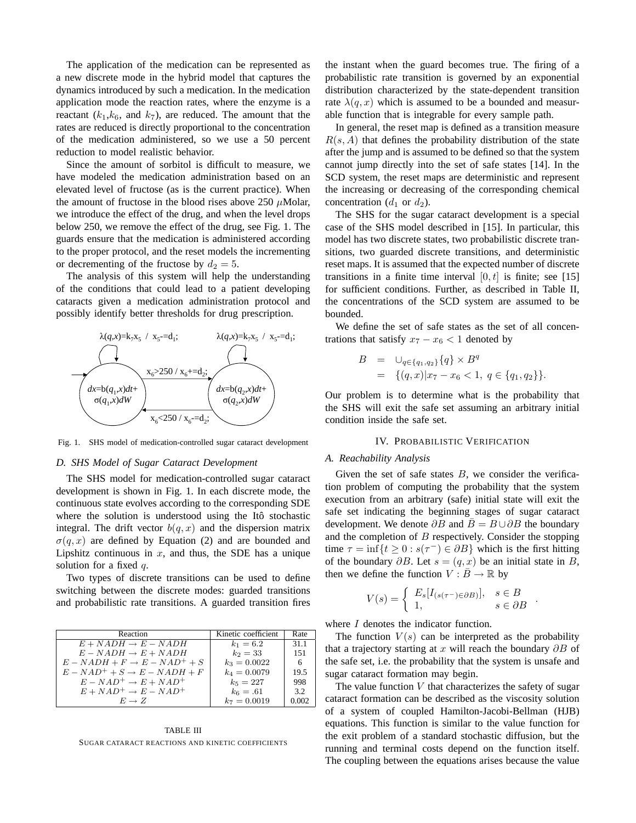The application of the medication can be represented as a new discrete mode in the hybrid model that captures the dynamics introduced by such a medication. In the medication application mode the reaction rates, where the enzyme is a reactant  $(k_1,k_6,$  and  $k_7)$ , are reduced. The amount that the rates are reduced is directly proportional to the concentration of the medication administered, so we use a 50 percent reduction to model realistic behavior.

Since the amount of sorbitol is difficult to measure, we have modeled the medication administration based on an elevated level of fructose (as is the current practice). When the amount of fructose in the blood rises above 250  $\mu$ Molar, we introduce the effect of the drug, and when the level drops below 250, we remove the effect of the drug, see Fig. 1. The guards ensure that the medication is administered according to the proper protocol, and the reset models the incrementing or decrementing of the fructose by  $d_2 = 5$ .

The analysis of this system will help the understanding of the conditions that could lead to a patient developing cataracts given a medication administration protocol and possibly identify better thresholds for drug prescription.



Fig. 1. SHS model of medication-controlled sugar cataract development

#### *D. SHS Model of Sugar Cataract Development*

The SHS model for medication-controlled sugar cataract development is shown in Fig. 1. In each discrete mode, the continuous state evolves according to the corresponding SDE where the solution is understood using the Itô stochastic integral. The drift vector  $b(q, x)$  and the dispersion matrix  $\sigma(q, x)$  are defined by Equation (2) and are bounded and Lipshitz continuous in  $x$ , and thus, the SDE has a unique solution for a fixed  $q$ .

Two types of discrete transitions can be used to define switching between the discrete modes: guarded transitions and probabilistic rate transitions. A guarded transition fires

| Reaction                                   | Kinetic coefficient | Rate  |
|--------------------------------------------|---------------------|-------|
| $E + NADH \rightarrow E - NADH$            | $k_1 = 6.2$         | 31.1  |
| $E - NADH \rightarrow E + NADH$            | $k_2 = 33$          | 151   |
| $E-NADH+F\rightarrow E-NAD^{+}+S$          | $k_3 = 0.0022$      | 6     |
| $E - NAD^{+} + S \rightarrow E - NADH + F$ | $k_4 = 0.0079$      | 19.5  |
| $E - NAD^+ \rightarrow E + NAD^+$          | $k_5 = 227$         | 998   |
| $E + NAD^{+} \rightarrow E - NAD^{+}$      | $k_6 = .61$         | 3.2   |
| $E \rightarrow Z$                          | $k_7 = 0.0019$      | 0.002 |

TABLE III SUGAR CATARACT REACTIONS AND KINETIC COEFFICIENTS

the instant when the guard becomes true. The firing of a probabilistic rate transition is governed by an exponential distribution characterized by the state-dependent transition rate  $\lambda(q, x)$  which is assumed to be a bounded and measurable function that is integrable for every sample path.

In general, the reset map is defined as a transition measure  $R(s, A)$  that defines the probability distribution of the state after the jump and is assumed to be defined so that the system cannot jump directly into the set of safe states [14]. In the SCD system, the reset maps are deterministic and represent the increasing or decreasing of the corresponding chemical concentration  $(d_1 \text{ or } d_2)$ .

The SHS for the sugar cataract development is a special case of the SHS model described in [15]. In particular, this model has two discrete states, two probabilistic discrete transitions, two guarded discrete transitions, and deterministic reset maps. It is assumed that the expected number of discrete transitions in a finite time interval  $[0, t]$  is finite; see [15] for sufficient conditions. Further, as described in Table II, the concentrations of the SCD system are assumed to be bounded.

We define the set of safe states as the set of all concentrations that satisfy  $x_7 - x_6 < 1$  denoted by

$$
B = \bigcup_{q \in \{q_1, q_2\}} \{q\} \times B^q
$$
  
= \{ (q, x) | x\_7 - x\_6 < 1, q \in \{q\_1, q\_2\} \}.

Our problem is to determine what is the probability that the SHS will exit the safe set assuming an arbitrary initial condition inside the safe set.

#### IV. PROBABILISTIC VERIFICATION

## *A. Reachability Analysis*

Given the set of safe states  $B$ , we consider the verification problem of computing the probability that the system execution from an arbitrary (safe) initial state will exit the safe set indicating the beginning stages of sugar cataract development. We denote  $\partial B$  and  $\overline{B} = B \cup \partial B$  the boundary and the completion of  $B$  respectively. Consider the stopping time  $\tau = \inf\{t \geq 0 : s(\tau^{-}) \in \partial B\}$  which is the first hitting of the boundary  $\partial B$ . Let  $s = (q, x)$  be an initial state in B, then we define the function  $V : \overline{B} \to \mathbb{R}$  by

$$
V(s) = \begin{cases} E_s[I_{(s(\tau^-) \in \partial B)}], & s \in B \\ 1, & s \in \partial B \end{cases}
$$

where *I* denotes the indicator function.

The function  $V(s)$  can be interpreted as the probability that a trajectory starting at  $x$  will reach the boundary  $\partial B$  of the safe set, i.e. the probability that the system is unsafe and sugar cataract formation may begin.

The value function  $V$  that characterizes the safety of sugar cataract formation can be described as the viscosity solution of a system of coupled Hamilton-Jacobi-Bellman (HJB) equations. This function is similar to the value function for the exit problem of a standard stochastic diffusion, but the running and terminal costs depend on the function itself. The coupling between the equations arises because the value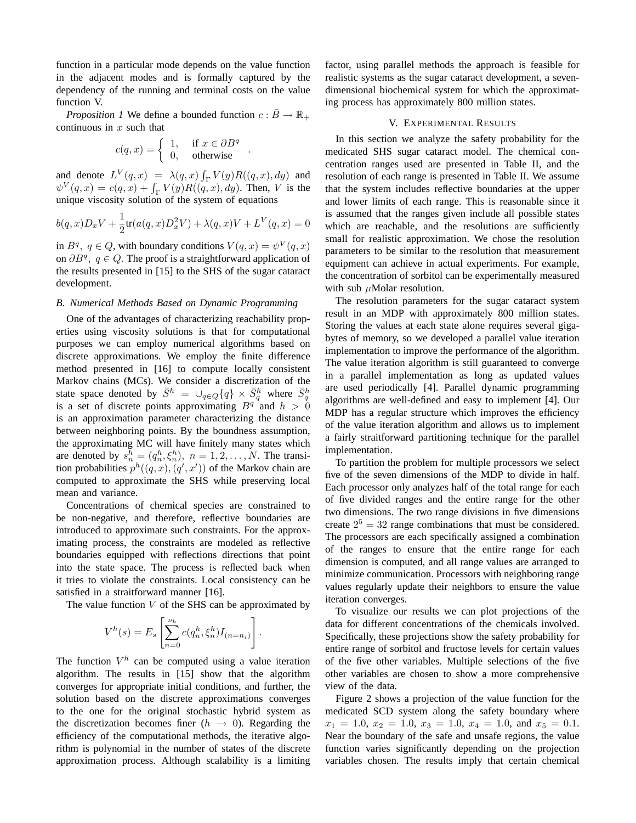function in a particular mode depends on the value function in the adjacent modes and is formally captured by the dependency of the running and terminal costs on the value function V.

*Proposition 1* We define a bounded function  $c : \overline{B} \to \mathbb{R}_+$ continuous in  $x$  such that

$$
c(q, x) = \begin{cases} 1, & \text{if } x \in \partial B^q \\ 0, & \text{otherwise} \end{cases}.
$$

and denote  $L^V(q, x) = \lambda(q, x) \int_{\Gamma} V(y) R((q, x), dy)$  and  $\psi^V(q,x) = c(q,x) + \int_{\Gamma} V(y) R((q,x),dy)$ . Then, V is the unique viscosity solution of the system of equations

$$
b(q, x)D_x V + \frac{1}{2} \text{tr}(a(q, x)D_x^2 V) + \lambda(q, x)V + L^V(q, x) = 0
$$

in  $B^q$ ,  $q \in Q$ , with boundary conditions  $V(q, x) = \psi^V(q, x)$ on  $\partial B^q$ ,  $q \in Q$ . The proof is a straightforward application of the results presented in [15] to the SHS of the sugar cataract development.

# *B. Numerical Methods Based on Dynamic Programming*

One of the advantages of characterizing reachability properties using viscosity solutions is that for computational purposes we can employ numerical algorithms based on discrete approximations. We employ the finite difference method presented in [16] to compute locally consistent Markov chains (MCs). We consider a discretization of the state space denoted by  $\bar{S}^h = \bigcup_{q \in Q} \{q\} \times \bar{S}^h_q$  where  $\bar{S}^h_q$  is a set of discrete points approximating  $B^q$  and  $h > 0$ is an approximation parameter characterizing the distance between neighboring points. By the boundness assumption, the approximating MC will have finitely many states which are denoted by  $s_n^h = (q_n^h, \xi_n^h), n = 1, 2, ..., N$ . The transition probabilities  $p^h((q, x), (q', x'))$  of the Markov chain are computed to approximate the SHS while preserving local mean and variance.

Concentrations of chemical species are constrained to be non-negative, and therefore, reflective boundaries are introduced to approximate such constraints. For the approximating process, the constraints are modeled as reflective boundaries equipped with reflections directions that point into the state space. The process is reflected back when it tries to violate the constraints. Local consistency can be satisfied in a straitforward manner [16].

The value function  $V$  of the SHS can be approximated by

$$
V^{h}(s) = E_{s} \left[ \sum_{n=0}^{\nu_{h}} c(q_{n}^{h}, \xi_{n}^{h}) I_{(n=n_{i})} \right].
$$

The function  $V^h$  can be computed using a value iteration algorithm. The results in [15] show that the algorithm converges for appropriate initial conditions, and further, the solution based on the discrete approximations converges to the one for the original stochastic hybrid system as the discretization becomes finer ( $h \rightarrow 0$ ). Regarding the efficiency of the computational methods, the iterative algorithm is polynomial in the number of states of the discrete approximation process. Although scalability is a limiting factor, using parallel methods the approach is feasible for realistic systems as the sugar cataract development, a sevendimensional biochemical system for which the approximating process has approximately 800 million states.

### V. EXPERIMENTAL RESULTS

In this section we analyze the safety probability for the medicated SHS sugar cataract model. The chemical concentration ranges used are presented in Table II, and the resolution of each range is presented in Table II. We assume that the system includes reflective boundaries at the upper and lower limits of each range. This is reasonable since it is assumed that the ranges given include all possible states which are reachable, and the resolutions are sufficiently small for realistic approximation. We chose the resolution parameters to be similar to the resolution that measurement equipment can achieve in actual experiments. For example, the concentration of sorbitol can be experimentally measured with sub  $\mu$ Molar resolution.

The resolution parameters for the sugar cataract system result in an MDP with approximately 800 million states. Storing the values at each state alone requires several gigabytes of memory, so we developed a parallel value iteration implementation to improve the performance of the algorithm. The value iteration algorithm is still guaranteed to converge in a parallel implementation as long as updated values are used periodically [4]. Parallel dynamic programming algorithms are well-defined and easy to implement [4]. Our MDP has a regular structure which improves the efficiency of the value iteration algorithm and allows us to implement a fairly straitforward partitioning technique for the parallel implementation.

To partition the problem for multiple processors we select five of the seven dimensions of the MDP to divide in half. Each processor only analyzes half of the total range for each of five divided ranges and the entire range for the other two dimensions. The two range divisions in five dimensions create  $2^5 = 32$  range combinations that must be considered. The processors are each specifically assigned a combination of the ranges to ensure that the entire range for each dimension is computed, and all range values are arranged to minimize communication. Processors with neighboring range values regularly update their neighbors to ensure the value iteration converges.

To visualize our results we can plot projections of the data for different concentrations of the chemicals involved. Specifically, these projections show the safety probability for entire range of sorbitol and fructose levels for certain values of the five other variables. Multiple selections of the five other variables are chosen to show a more comprehensive view of the data.

Figure 2 shows a projection of the value function for the medicated SCD system along the safety boundary where  $x_1 = 1.0, x_2 = 1.0, x_3 = 1.0, x_4 = 1.0,$  and  $x_5 = 0.1$ . Near the boundary of the safe and unsafe regions, the value function varies significantly depending on the projection variables chosen. The results imply that certain chemical